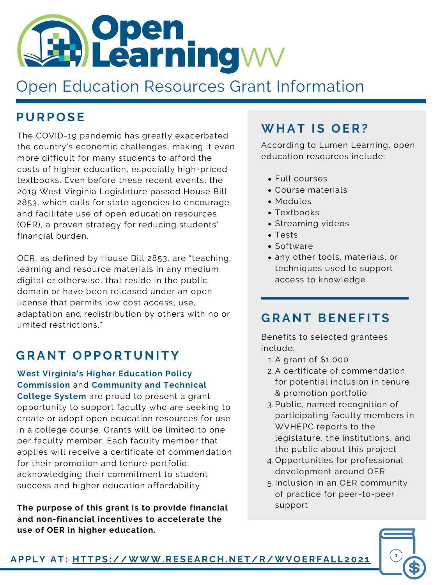## **G RA N T O P P O RT U N I TY**

**West Virginia's Higher Education Policy Commission** and **Community and Technical College System** are proud to present a grant opportunity to support faculty who are seeking to create or adopt open education resources for use in a college course. Grants will be limited to one per faculty member. Each faculty member that applies will receive a certificate of commendation for their promotion and tenure portfolio, acknowledging their commitment to student success and higher education affordability.

**The purpose of this grant is to provide financial and non-financial incentives to accelerate the use of OER in higher education.**

## **P U RP O S E**

The COVID-19 pandemic has greatly exacerbated the country's economic challenges, making it even more difficult for many students to afford the costs of higher education, especially high-priced textbooks. Even before these recent events, the 2019 West Virginia Legislature passed House Bill 2853, which calls for state agencies to encourage and facilitate use of open education resources (OER), a proven strategy for reducing students' financial burden.

OER, as defined by House Bill 2853, are "teaching, learning and resource materials in any medium, digital or otherwise, that reside in the public domain or have been released under an open license that permits low cost access, use, adaptation and redistribution by others with no or limited restrictions."

- A grant of \$1,000 1.
- A certificate of commendation 2. for potential inclusion in tenure & promotion portfolio
- 3. Public, named recognition of participating faculty members in WVHEPC reports to the legislature, the institutions, and the public about this project
- Opportunities for professional 4. development around OER
- 5. Inclusion in an OER community of practice for peer-to-peer support

Benefits to selected grantees include:

- Full courses
- Course materials
- Modules
- Textbooks
- **Streaming videos**
- Tests
- Software
- any other tools, materials, or techniques used to support access to knowledge

According to Lumen Learning, open education resources include:

# **Open**<br>Learningwy

# Open Education Resources Grant Information

## **G RA N T BE N E F I T S**

## **WH AT I S O ER?**

**APPLY AT: [HTTPS://WWW.RESEARCH.NET/R/WVOERFAL](https://www.research.net/r/WVOERFall2021) L 202 1**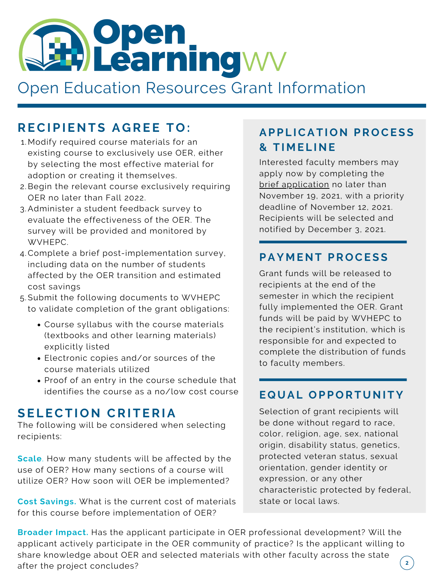Interested faculty members may apply now by completing the brief [application](https://www.research.net/r/WVOERFall2021) no later than November 19, 2021, with a priority deadline of November 12, 2021. Recipients will be selected and notified by December 3, 2021.

- Modify required course materials for an 1. existing course to exclusively use OER, either by selecting the most effective material for adoption or creating it themselves.
- 2. Begin the relevant course exclusively requiring OER no later than Fall 2022.
- Administer a student feedback survey to 3. evaluate the effectiveness of the OER. The survey will be provided and monitored by WVHEPC.
- Complete a brief post-implementation survey, 4. including data on the number of students affected by the OER transition and estimated cost savings
- Submit the following documents to WVHEPC 5.

to validate completion of the grant obligations:

**Broader Impact.** Has the applicant participate in OER professional development? Will the applicant actively participate in the OER community of practice? Is the applicant willing to share knowledge about OER and selected materials with other faculty across the state  $\begin{pmatrix} 2 \end{pmatrix}$ after the project concludes?

## **AP P L ICAT I O N PR O CE S S & T I M E L I N E**

Grant funds will be released to recipients at the end of the semester in which the recipient fully implemented the OER. Grant funds will be paid by WVHEPC to the recipient's institution, which is responsible for and expected to complete the distribution of funds to faculty members.

## **S E L ECT I O N CRI T ERIA**

The following will be considered when selecting recipients:

**Scale**. How many students will be affected by the use of OER? How many sections of a course will utilize OER? How soon will OER be implemented?

## **RECI P I E N T S A G RE E T O :**

- Course syllabus with the course materials (textbooks and other learning materials) explicitly listed
- Electronic copies and/or sources of the course materials utilized
- Proof of an entry in the course schedule that identifies the course as a no/low cost course

Selection of grant recipients will be done without regard to race, color, religion, age, sex, national origin, disability status, genetics, protected veteran status, sexual orientation, gender identity or expression, or any other characteristic protected by federal, state or local laws.

### **PAY M E N T PR O CE S S**

#### **E Q U AL O P P O RT U N I TY**



**Cost Savings.** What is the current cost of materials for this course before implementation of OER?